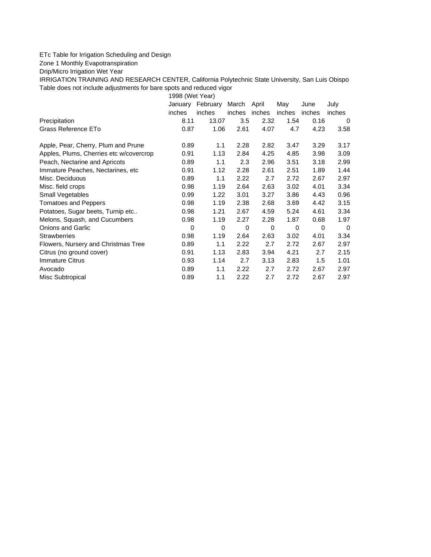## ETc Table for Irrigation Scheduling and Design

Zone 1 Monthly Evapotranspiration

Drip/Micro Irrigation Wet Year

IRRIGATION TRAINING AND RESEARCH CENTER, California Polytechnic State University, San Luis Obispo Table does not include adjustments for bare spots and reduced vigor

1998 (Wet Year)

|                                         | January | February | March  | April  | May    | June     | July     |
|-----------------------------------------|---------|----------|--------|--------|--------|----------|----------|
|                                         | inches  | inches   | inches | inches | inches | inches   | inches   |
| Precipitation                           | 8.11    | 13.07    | 3.5    | 2.32   | 1.54   | 0.16     | 0        |
| Grass Reference ETo                     | 0.87    | 1.06     | 2.61   | 4.07   | 4.7    | 4.23     | 3.58     |
| Apple, Pear, Cherry, Plum and Prune     | 0.89    | 1.1      | 2.28   | 2.82   | 3.47   | 3.29     | 3.17     |
| Apples, Plums, Cherries etc w/covercrop | 0.91    | 1.13     | 2.84   | 4.25   | 4.85   | 3.98     | 3.09     |
| Peach, Nectarine and Apricots           | 0.89    | 1.1      | 2.3    | 2.96   | 3.51   | 3.18     | 2.99     |
| Immature Peaches, Nectarines, etc.      | 0.91    | 1.12     | 2.28   | 2.61   | 2.51   | 1.89     | 1.44     |
| Misc. Deciduous                         | 0.89    | 1.1      | 2.22   | 2.7    | 2.72   | 2.67     | 2.97     |
| Misc. field crops                       | 0.98    | 1.19     | 2.64   | 2.63   | 3.02   | 4.01     | 3.34     |
| Small Vegetables                        | 0.99    | 1.22     | 3.01   | 3.27   | 3.86   | 4.43     | 0.96     |
| <b>Tomatoes and Peppers</b>             | 0.98    | 1.19     | 2.38   | 2.68   | 3.69   | 4.42     | 3.15     |
| Potatoes, Sugar beets, Turnip etc       | 0.98    | 1.21     | 2.67   | 4.59   | 5.24   | 4.61     | 3.34     |
| Melons, Squash, and Cucumbers           | 0.98    | 1.19     | 2.27   | 2.28   | 1.87   | 0.68     | 1.97     |
| Onions and Garlic                       | 0       | 0        | 0      | 0      | 0      | $\Omega$ | $\Omega$ |
| <b>Strawberries</b>                     | 0.98    | 1.19     | 2.64   | 2.63   | 3.02   | 4.01     | 3.34     |
| Flowers, Nursery and Christmas Tree     | 0.89    | 1.1      | 2.22   | 2.7    | 2.72   | 2.67     | 2.97     |
| Citrus (no ground cover)                | 0.91    | 1.13     | 2.83   | 3.94   | 4.21   | 2.7      | 2.15     |
| <b>Immature Citrus</b>                  | 0.93    | 1.14     | 2.7    | 3.13   | 2.83   | 1.5      | 1.01     |
| Avocado                                 | 0.89    | 1.1      | 2.22   | 2.7    | 2.72   | 2.67     | 2.97     |
| Misc Subtropical                        | 0.89    | 1.1      | 2.22   | 2.7    | 2.72   | 2.67     | 2.97     |